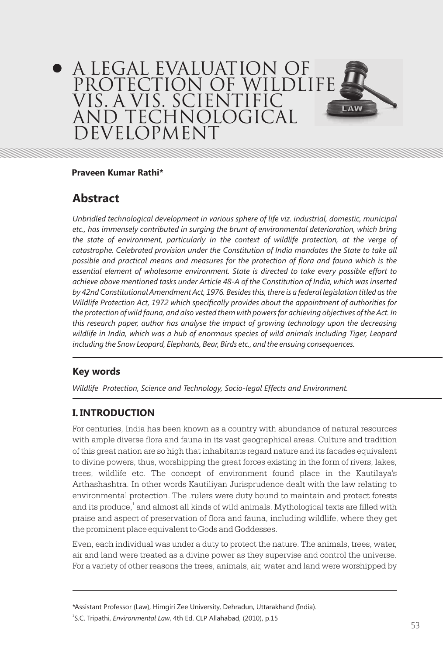# A LEGAL EVALUATION OF PROTECTION OF WILDLIFE VIs. A VIS. SCIENTIFIC LAW **TECHNOLOGICAL EVELOPMENT**

#### **Praveen Kumar Rathi\***

## **Abstract**

*Unbridled technological development in various sphere of life viz. industrial, domestic, municipal etc., has immensely contributed in surging the brunt of environmental deterioration, which bring the state of environment, particularly in the context of wildlife protection, at the verge of catastrophe. Celebrated provision under the Constitution of India mandates the State to take all possible and practical means and measures for the protection of flora and fauna which is the essential element of wholesome environment. State is directed to take every possible effort to achieve above mentioned tasks under Article 48-A of the Constitution of India, which was inserted by 42nd Constitutional Amendment Act, 1976. Besides this, there is a federal legislation titled as the Wildlife Protection Act, 1972 which specifically provides about the appointment of authorities for the protection of wild fauna, and also vested them with powers for achieving objectives of the Act. In this research paper, author has analyse the impact of growing technology upon the decreasing wildlife in India, which was a hub of enormous species of wild animals including Tiger, Leopard including the Snow Leopard, Elephants, Bear, Birds etc., and the ensuing consequences.* 

### **Key words**

*Wildlife Protection, Science and Technology, Socio-legal Effects and Environment.*

### **I. INTRODUCTION**

For centuries, India has been known as a country with abundance of natural resources with ample diverse flora and fauna in its vast geographical areas. Culture and tradition of this great nation are so high that inhabitants regard nature and its facades equivalent to divine powers, thus, worshipping the great forces existing in the form of rivers, lakes, trees, wildlife etc. The concept of environment found place in the Kautilaya's Arthashashtra. In other words Kautiliyan Jurisprudence dealt with the law relating to environmental protection. The .rulers were duty bound to maintain and protect forests and its produce, $^{\rm t}$  and almost all kinds of wild animals. Mythological texts are filled with praise and aspect of preservation of flora and fauna, including wildlife, where they get the prominent place equivalent to Gods and Goddesses.

Even, each individual was under a duty to protect the nature. The animals, trees, water, air and land were treated as a divine power as they supervise and control the universe. For a variety of other reasons the trees, animals, air, water and land were worshipped by

\*Assistant Professor (Law), Himgiri Zee University, Dehradun, Uttarakhand (India). 1 S.C. Tripathi, *Environmental Law*, 4th Ed. CLP Allahabad, (2010), p.15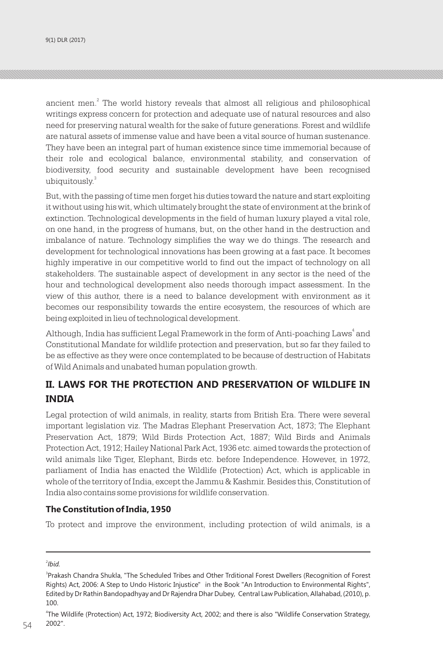ancient men. $2$  The world history reveals that almost all religious and philosophical writings express concern for protection and adequate use of natural resources and also need for preserving natural wealth for the sake of future generations. Forest and wildlife are natural assets of immense value and have been a vital source of human sustenance. They have been an integral part of human existence since time immemorial because of their role and ecological balance, environmental stability, and conservation of biodiversity, food security and sustainable development have been recognised ubiquitously.<sup>3</sup>

But, with the passing of time men forget his duties toward the nature and start exploiting it without using his wit, which ultimately brought the state of environment at the brink of extinction. Technological developments in the field of human luxury played a vital role, on one hand, in the progress of humans, but, on the other hand in the destruction and imbalance of nature. Technology simplifies the way we do things. The research and development for technological innovations has been growing at a fast pace. It becomes highly imperative in our competitive world to find out the impact of technology on all stakeholders. The sustainable aspect of development in any sector is the need of the hour and technological development also needs thorough impact assessment. In the view of this author, there is a need to balance development with environment as it becomes our responsibility towards the entire ecosystem, the resources of which are being exploited in lieu of technological development.

Although, India has sufficient Legal Framework in the form of Anti-poaching Laws<sup>4</sup> and Constitutional Mandate for wildlife protection and preservation, but so far they failed to be as effective as they were once contemplated to be because of destruction of Habitats of Wild Animals and unabated human population growth.

## **II. LAWS FOR THE PROTECTION AND PRESERVATION OF WILDLIFE IN INDIA**

Legal protection of wild animals, in reality, starts from British Era. There were several important legislation viz. The Madras Elephant Preservation Act, 1873; The Elephant Preservation Act, 1879; Wild Birds Protection Act, 1887; Wild Birds and Animals Protection Act, 1912; Hailey National Park Act, 1936 etc. aimed towards the protection of wild animals like Tiger, Elephant, Birds etc. before Independence. However, in 1972, parliament of India has enacted the Wildlife (Protection) Act, which is applicable in whole of the territory of India, except the Jammu & Kashmir. Besides this, Constitution of India also contains some provisions for wildlife conservation.

#### **The Constitution of India, 1950**

To protect and improve the environment, including protection of wild animals, is a

<sup>2</sup> *Ibid.*

<sup>&</sup>lt;sup>3</sup>Prakash Chandra Shukla, "The Scheduled Tribes and Other Trditional Forest Dwellers (Recognition of Forest Rights) Act, 2006: A Step to Undo Historic Injustice" in the Book "An Introduction to Environmental Rights", Edited by Dr Rathin Bandopadhyay and Dr Rajendra Dhar Dubey, Central Law Publication, Allahabad, (2010), p. 100.

<sup>4</sup> The Wildlife (Protection) Act, 1972; Biodiversity Act, 2002; and there is also "Wildlife Conservation Strategy, 2002".  $54$  2002".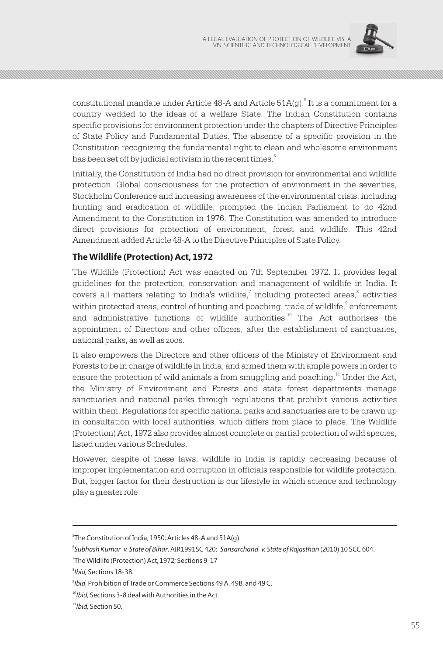

constitutional mandate under Article 48-A and Article 51A(g).<sup>5</sup> It is a commitment for a country wedded to the ideas of a welfare State. The Indian Constitution contains specific provisions for environment protection under the chapters of Directive Principles of State Policy and Fundamental Duties. The absence of a specific provision in the Constitution recognizing the fundamental right to clean and wholesome environment has been set off by judicial activism in the recent times. $^{\mathrm{6}}$ 

Initially, the Constitution of India had no direct provision for environmental and wildlife protection. Global consciousness for the protection of environment in the seventies, Stockholm Conference and increasing awareness of the environmental crisis, including hunting and eradication of wildlife, prompted the Indian Parliament to do 42nd Amendment to the Constitution in 1976. The Constitution was amended to introduce direct provisions for protection of environment, forest and wildlife. This 42nd Amendment added Article 48-A to the Directive Principles of State Policy.

#### **The Wildlife (Protection) Act, 1972**

The Wildlife (Protection) Act was enacted on 7th September 1972. It provides legal guidelines for the protection, conservation and management of wildlife in India. It covers all matters relating to India's wildlife, $^7$  including protected areas, $^8$  activities within protected areas, control of hunting and poaching, trade of wildlife, enforcement and administrative functions of wildlife authorities.<sup>10</sup> The Act authorises the appointment of Directors and other officers, after the establishment of sanctuaries, national parks, as well as zoos.

It also empowers the Directors and other officers of the Ministry of Environment and Forests to be in charge of wildlife in India, and armed them with ample powers in order to ensure the protection of wild animals a from smuggling and poaching.<sup>11</sup> Under the Act, the Ministry of Environment and Forests and state forest departments manage sanctuaries and national parks through regulations that prohibit various activities within them. Regulations for specific national parks and sanctuaries are to be drawn up in consultation with local authorities, which differs from place to place. The Wildlife (Protection) Act, 1972 also provides almost complete or partial protection of wild species, listed under various Schedules.

However, despite of these laws, wildlife in India is rapidly decreasing because of improper implementation and corruption in officials responsible for wildlife protection. But, bigger factor for their destruction is our lifestyle in which science and technology play a greater role.

<sup>5</sup> The Constitution of India, 1950; Articles 48-A and 51A(g).

<sup>6</sup> *Subhash Kumar v. State of Bihar*, AIR1991SC 420; *Sansarchand v. State of Rajasthan* (2010) 10 SCC 604.

<sup>7</sup> The Wildlife (Protection) Act, 1972; Sections 9-17

<sup>8</sup> *Ibid,* Sections 18-38.

<sup>9</sup> *Ibid*, Prohibition of Trade or Commerce Sections 49 A, 49B, and 49 C.

<sup>10</sup>*Ibid,* Sections 3-8 deal with Authorities in the Act.

<sup>11</sup>*Ibid,* Section 50.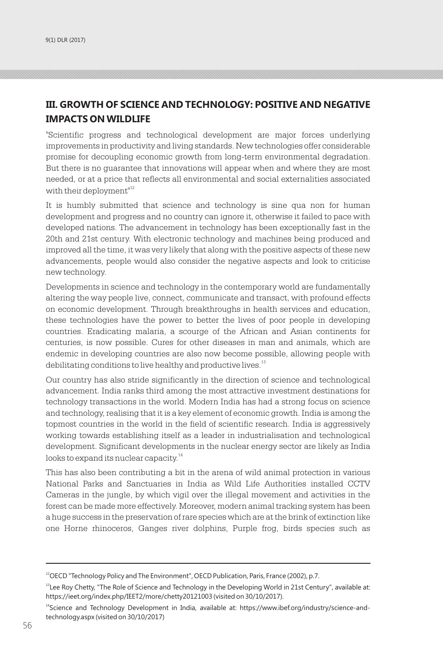## **III. GROWTH OF SCIENCE AND TECHNOLOGY: POSITIVE AND NEGATIVE IMPACTS ON WILDLIFE**

"Scientific progress and technological development are major forces underlying improvements in productivity and living standards. New technologies offer considerable promise for decoupling economic growth from long-term environmental degradation. But there is no guarantee that innovations will appear when and where they are most needed, or at a price that reflects all environmental and social externalities associated with their deployment $12$ 

It is humbly submitted that science and technology is sine qua non for human development and progress and no country can ignore it, otherwise it failed to pace with developed nations. The advancement in technology has been exceptionally fast in the 20th and 21st century. With electronic technology and machines being produced and improved all the time, it was very likely that along with the positive aspects of these new advancements, people would also consider the negative aspects and look to criticise new technology.

Developments in science and technology in the contemporary world are fundamentally altering the way people live, connect, communicate and transact, with profound effects on economic development. Through breakthroughs in health services and education, these technologies have the power to better the lives of poor people in developing countries. Eradicating malaria, a scourge of the African and Asian continents for centuries, is now possible. Cures for other diseases in man and animals, which are endemic in developing countries are also now become possible, allowing people with debilitating conditions to live healthy and productive lives.<sup>13</sup>

Our country has also stride significantly in the direction of science and technological advancement. India ranks third among the most attractive investment destinations for technology transactions in the world. Modern India has had a strong focus on science and technology, realising that it is a key element of economic growth. India is among the topmost countries in the world in the field of scientific research. India is aggressively working towards establishing itself as a leader in industrialisation and technological development. Significant developments in the nuclear energy sector are likely as India looks to expand its nuclear capacity.<sup>14</sup>

This has also been contributing a bit in the arena of wild animal protection in various National Parks and Sanctuaries in India as Wild Life Authorities installed CCTV Cameras in the jungle, by which vigil over the illegal movement and activities in the forest can be made more effectively. Moreover, modern animal tracking system has been a huge success in the preservation of rare species which are at the brink of extinction like one Horne rhinoceros, Ganges river dolphins, Purple frog, birds species such as

<sup>&</sup>lt;sup>12</sup>OECD "Technology Policy and The Environment", OECD Publication, Paris, France (2002), p.7.

 $13$ Lee Roy Chetty, "The Role of Science and Technology in the Developing World in 21st Century", available at: https://ieet.org/index.php/IEET2/more/chetty20121003 (visited on 30/10/2017).

<sup>&</sup>lt;sup>14</sup>Science and Technology Development in India, available at: https://www.ibef.org/industry/science-andtechnology.aspx (visited on 30/10/2017)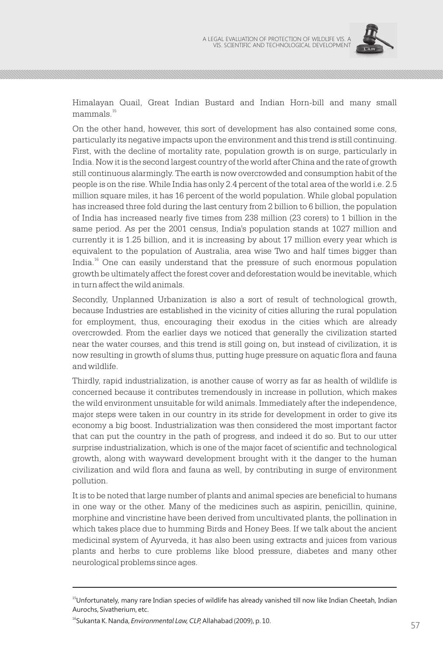

Himalayan Quail, Great Indian Bustard and Indian Horn-bill and many small mammals.<sup>15</sup>

On the other hand, however, this sort of development has also contained some cons, particularly its negative impacts upon the environment and this trend is still continuing. First, with the decline of mortality rate, population growth is on surge, particularly in India. Now it is the second largest country of the world after China and the rate of growth still continuous alarmingly. The earth is now overcrowded and consumption habit of the people is on the rise. While India has only 2.4 percent of the total area of the world i.e. 2.5 million square miles, it has 16 percent of the world population. While global population has increased three fold during the last century from 2 billion to 6 billion, the population of India has increased nearly five times from 238 million (23 corers) to 1 billion in the same period. As per the 2001 census, India's population stands at 1027 million and currently it is 1.25 billion, and it is increasing by about 17 million every year which is equivalent to the population of Australia, area wise Two and half times bigger than India.<sup>16</sup> One can easily understand that the pressure of such enormous population growth be ultimately affect the forest cover and deforestation would be inevitable, which in turn affect the wild animals.

Secondly, Unplanned Urbanization is also a sort of result of technological growth, because Industries are established in the vicinity of cities alluring the rural population for employment, thus, encouraging their exodus in the cities which are already overcrowded. From the earlier days we noticed that generally the civilization started near the water courses, and this trend is still going on, but instead of civilization, it is now resulting in growth of slums thus, putting huge pressure on aquatic flora and fauna and wildlife.

Thirdly, rapid industrialization, is another cause of worry as far as health of wildlife is concerned because it contributes tremendously in increase in pollution, which makes the wild environment unsuitable for wild animals. Immediately after the independence, major steps were taken in our country in its stride for development in order to give its economy a big boost. Industrialization was then considered the most important factor that can put the country in the path of progress, and indeed it do so. But to our utter surprise industrialization, which is one of the major facet of scientific and technological growth, along with wayward development brought with it the danger to the human civilization and wild flora and fauna as well, by contributing in surge of environment pollution.

It is to be noted that large number of plants and animal species are beneficial to humans in one way or the other. Many of the medicines such as aspirin, penicillin, quinine, morphine and vincristine have been derived from uncultivated plants, the pollination in which takes place due to humming Birds and Honey Bees. If we talk about the ancient medicinal system of Ayurveda, it has also been using extracts and juices from various plants and herbs to cure problems like blood pressure, diabetes and many other neurological problems since ages.

<sup>&</sup>lt;sup>15</sup>Unfortunately, many rare Indian species of wildlife has already vanished till now like Indian Cheetah, Indian Aurochs, Sivatherium, etc.

<sup>16</sup>Sukanta K. Nanda, *Environmental Law, CLP,* Allahabad (2009), p. 10.  $57$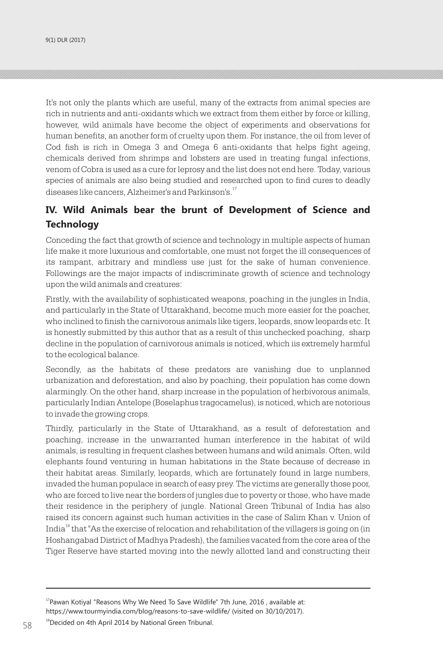It's not only the plants which are useful, many of the extracts from animal species are rich in nutrients and anti-oxidants which we extract from them either by force or killing, however, wild animals have become the object of experiments and observations for human benefits, an another form of cruelty upon them. For instance, the oil from lever of Cod fish is rich in Omega 3 and Omega 6 anti-oxidants that helps fight ageing, chemicals derived from shrimps and lobsters are used in treating fungal infections, venom of Cobra is used as a cure for leprosy and the list does not end here. Today, various species of animals are also being studied and researched upon to find cures to deadly diseases like cancers, Alzheimer's and Parkinson's.<sup>17</sup>

## **IV. Wild Animals bear the brunt of Development of Science and Technology**

Conceding the fact that growth of science and technology in multiple aspects of human life make it more luxurious and comfortable, one must not forget the ill consequences of its rampant, arbitrary and mindless use just for the sake of human convenience. Followings are the major impacts of indiscriminate growth of science and technology upon the wild animals and creatures:

Firstly, with the availability of sophisticated weapons, poaching in the jungles in India, and particularly in the State of Uttarakhand, become much more easier for the poacher, who inclined to finish the carnivorous animals like tigers, leopards, snow leopards etc. It is honestly submitted by this author that as a result of this unchecked poaching, sharp decline in the population of carnivorous animals is noticed, which iis extremely harmful to the ecological balance.

Secondly, as the habitats of these predators are vanishing due to unplanned urbanization and deforestation, and also by poaching, their population has come down alarmingly. On the other hand, sharp increase in the population of herbivorous animals, particularly Indian Antelope (Boselaphus tragocamelus), is noticed, which are notorious to invade the growing crops.

Thirdly, particularly in the State of Uttarakhand, as a result of deforestation and poaching, increase in the unwarranted human interference in the habitat of wild animals, is resulting in frequent clashes between humans and wild animals. Often, wild elephants found venturing in human habitations in the State because of decrease in their habitat areas. Similarly, leopards, which are fortunately found in large numbers, invaded the human populace in search of easy prey. The victims are generally those poor, who are forced to live near the borders of jungles due to poverty or those, who have made their residence in the periphery of jungle. National Green Tribunal of India has also raised its concern against such human activities in the case of Salim Khan v. Union of India<sup>18</sup> that "As the exercise of relocation and rehabilitation of the villagers is going on (in Hoshangabad District of Madhya Pradesh), the families vacated from the core area of the Tiger Reserve have started moving into the newly allotted land and constructing their

 $17$ Pawan Kotiyal "Reasons Why We Need To Save Wildlife" 7th June, 2016, available at: https://www.tourmyindia.com/blog/reasons-to-save-wildlife/ (visited on 30/10/2017).

 $18$   $\phantom{1}^{18}$ Decided on 4th April 2014 by National Green Tribunal.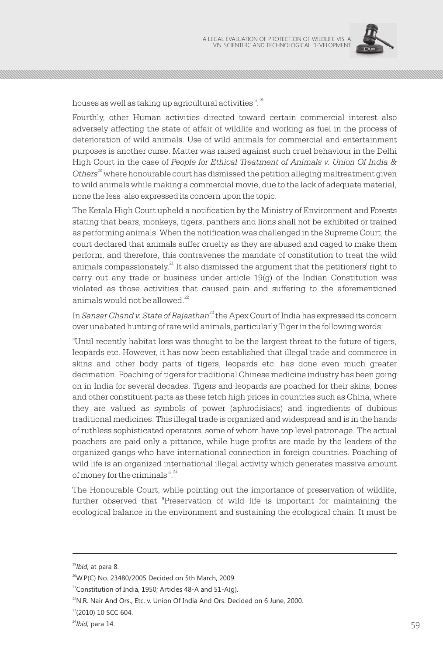

houses as well as taking up agricultural activities ".<sup>19</sup>

Fourthly, other Human activities directed toward certain commercial interest also adversely affecting the state of affair of wildlife and working as fuel in the process of deterioration of wild animals. Use of wild animals for commercial and entertainment purposes is another curse. Matter was raised against such cruel behaviour in the Delhi High Court in the case of *People for Ethical Treatment of Animals v. Union Of India &*  <sup>20</sup> *Others* where honourable court has dismissed the petition alleging maltreatment given to wild animals while making a commercial movie, due to the lack of adequate material, none the less also expressed its concern upon the topic.

The Kerala High Court upheld a notification by the Ministry of Environment and Forests stating that bears, monkeys, tigers, panthers and lions shall not be exhibited or trained as performing animals. When the notification was challenged in the Supreme Court, the court declared that animals suffer cruelty as they are abused and caged to make them perform, and therefore, this contravenes the mandate of constitution to treat the wild animals compassionately. $^{21}$  It also dismissed the argument that the petitioners' right to carry out any trade or business under article  $19(q)$  of the Indian Constitution was violated as those activities that caused pain and suffering to the aforementioned animals would not be allowed.<sup>22</sup>

In *Sansar Chand v. State of Rajasthan*<sup>23</sup> the Apex Court of India has expressed its concern over unabated hunting of rare wild animals, particularly Tiger in the following words:

"Until recently habitat loss was thought to be the largest threat to the future of tigers, leopards etc. However, it has now been established that illegal trade and commerce in skins and other body parts of tigers, leopards etc. has done even much greater decimation. Poaching of tigers for traditional Chinese medicine industry has been going on in India for several decades. Tigers and leopards are poached for their skins, bones and other constituent parts as these fetch high prices in countries such as China, where they are valued as symbols of power (aphrodisiacs) and ingredients of dubious traditional medicines. This illegal trade is organized and widespread and is in the hands of ruthless sophisticated operators, some of whom have top level patronage. The actual poachers are paid only a pittance, while huge profits are made by the leaders of the organized gangs who have international connection in foreign countries. Poaching of wild life is an organized international illegal activity which generates massive amount of money for the criminals  $\frac{24}{1}$ 

The Honourable Court, while pointing out the importance of preservation of wildlife, further observed that "Preservation of wild life is important for maintaining the ecological balance in the environment and sustaining the ecological chain. It must be

<sup>19</sup>*Ibid*, at para 8.

 $20$ W.P(C) No. 23480/2005 Decided on 5th March, 2009.

 $21$ Constitution of India, 1950; Articles 48-A and 51-A(g).

<sup>&</sup>lt;sup>22</sup>N.R. Nair And Ors., Etc. v. Union Of India And Ors. Decided on 6 June, 2000.

<sup>&</sup>lt;sup>23</sup>(2010) 10 SCC 604.

 $24$ *bid,* para 14. 59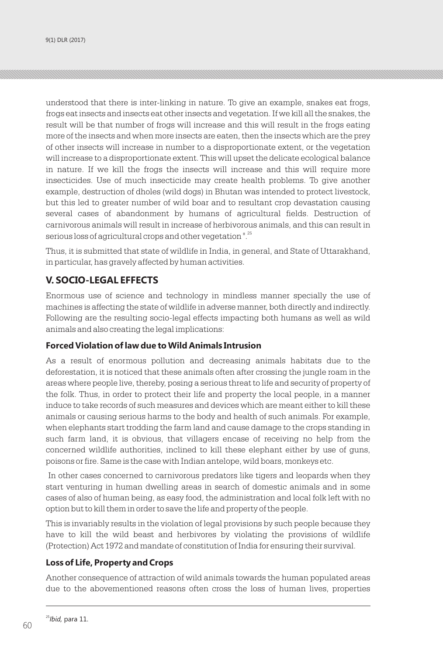understood that there is inter-linking in nature. To give an example, snakes eat frogs, frogs eat insects and insects eat other insects and vegetation. If we kill all the snakes, the result will be that number of frogs will increase and this will result in the frogs eating more of the insects and when more insects are eaten, then the insects which are the prey of other insects will increase in number to a disproportionate extent, or the vegetation will increase to a disproportionate extent. This will upset the delicate ecological balance in nature. If we kill the frogs the insects will increase and this will require more insecticides. Use of much insecticide may create health problems. To give another example, destruction of dholes (wild dogs) in Bhutan was intended to protect livestock, but this led to greater number of wild boar and to resultant crop devastation causing several cases of abandonment by humans of agricultural fields. Destruction of carnivorous animals will result in increase of herbivorous animals, and this can result in serious loss of agricultural crops and other vegetation".<sup>25</sup>

Thus, it is submitted that state of wildlife in India, in general, and State of Uttarakhand, in particular, has gravely affected by human activities.

### **V. SOCIO-LEGAL EFFECTS**

Enormous use of science and technology in mindless manner specially the use of machines is affecting the state of wildlife in adverse manner, both directly and indirectly. Following are the resulting socio-legal effects impacting both humans as well as wild animals and also creating the legal implications:

#### **Forced Violation of law due to Wild Animals Intrusion**

As a result of enormous pollution and decreasing animals habitats due to the deforestation, it is noticed that these animals often after crossing the jungle roam in the areas where people live, thereby, posing a serious threat to life and security of property of the folk. Thus, in order to protect their life and property the local people, in a manner induce to take records of such measures and devices which are meant either to kill these animals or causing serious harms to the body and health of such animals. For example, when elephants start trodding the farm land and cause damage to the crops standing in such farm land, it is obvious, that villagers encase of receiving no help from the concerned wildlife authorities, inclined to kill these elephant either by use of guns, poisons or fire. Same is the case with Indian antelope, wild boars, monkeys etc.

 In other cases concerned to carnivorous predators like tigers and leopards when they start venturing in human dwelling areas in search of domestic animals and in some cases of also of human being, as easy food, the administration and local folk left with no option but to kill them in order to save the life and property of the people.

This is invariably results in the violation of legal provisions by such people because they have to kill the wild beast and herbivores by violating the provisions of wildlife (Protection) Act 1972 and mandate of constitution of India for ensuring their survival.

#### **Loss of Life, Property and Crops**

Another consequence of attraction of wild animals towards the human populated areas due to the abovementioned reasons often cross the loss of human lives, properties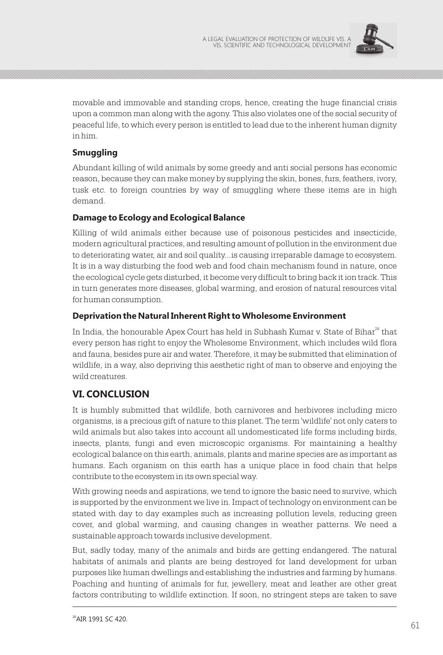

movable and immovable and standing crops, hence, creating the huge financial crisis upon a common man along with the agony. This also violates one of the social security of peaceful life, to which every person is entitled to lead due to the inherent human dignity in him.

### **Smuggling**

Abundant killing of wild animals by some greedy and anti social persons has economic reason, because they can make money by supplying the skin, bones, furs, feathers, ivory, tusk etc. to foreign countries by way of smuggling where these items are in high demand.

#### **Damage to Ecology and Ecological Balance**

Killing of wild animals either because use of poisonous pesticides and insecticide, modern agricultural practices, and resulting amount of pollution in the environment due to deteriorating water, air and soil quality...is causing irreparable damage to ecosystem. It is in a way disturbing the food web and food chain mechanism found in nature, once the ecological cycle gets disturbed, it become very difficult to bring back it ion track. This in turn generates more diseases, global warming, and erosion of natural resources vital for human consumption.

#### **Deprivation the Natural Inherent Right to Wholesome Environment**

In India, the honourable Apex Court has held in Subhash Kumar v. State of Bihar<sup>26</sup> that every person has right to enjoy the Wholesome Environment, which includes wild flora and fauna, besides pure air and water. Therefore, it may be submitted that elimination of wildlife, in a way, also depriving this aesthetic right of man to observe and enjoying the wild creatures.

### **VI. CONCLUSION**

It is humbly submitted that wildlife, both carnivores and herbivores including micro organisms, is a precious gift of nature to this planet. The term 'wildlife' not only caters to wild animals but also takes into account all undomesticated life forms including birds, insects, plants, fungi and even microscopic organisms. For maintaining a healthy ecological balance on this earth, animals, plants and marine species are as important as humans. Each organism on this earth has a unique place in food chain that helps contribute to the ecosystem in its own special way.

With growing needs and aspirations, we tend to ignore the basic need to survive, which is supported by the environment we live in. Impact of technology on environment can be stated with day to day examples such as increasing pollution levels, reducing green cover, and global warming, and causing changes in weather patterns. We need a sustainable approach towards inclusive development.

But, sadly today, many of the animals and birds are getting endangered. The natural habitats of animals and plants are being destroyed for land development for urban purposes like human dwellings and establishing the industries and farming by humans. Poaching and hunting of animals for fur, jewellery, meat and leather are other great factors contributing to wildlife extinction. If soon, no stringent steps are taken to save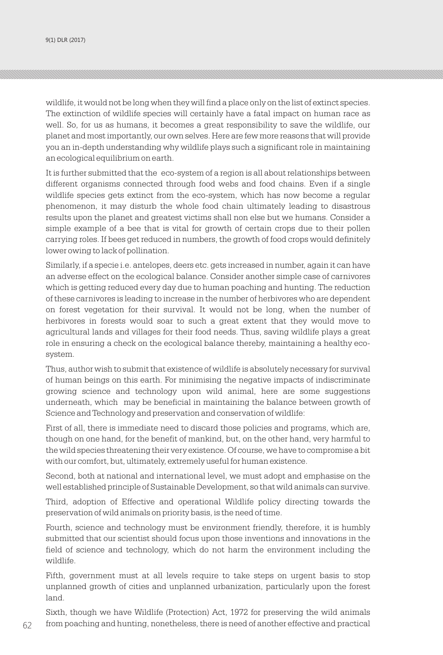9(1) DLR (2017) A LEGAL EVALUATION OF PROTECTION OF PROTECTION OF PROTECTION OF PROTECTION OF PROTECTION OF WILDLIFE VIS. A LEGAL EVALUATION OF PROTECTION OF WILDLIFE VIS. A LEGAL EVALUATION OF WILDLIFE VIS. A LEGAL EVALUA

wildlife, it would not be long when they will find a place only on the list of extinct species. The extinction of wildlife species will certainly have a fatal impact on human race as well. So, for us as humans, it becomes a great responsibility to save the wildlife, our planet and most importantly, our own selves. Here are few more reasons that will provide you an in-depth understanding why wildlife plays such a significant role in maintaining an ecological equilibrium on earth.

It is further submitted that the eco-system of a region is all about relationships between different organisms connected through food webs and food chains. Even if a single wildlife species gets extinct from the eco-system, which has now become a regular phenomenon, it may disturb the whole food chain ultimately leading to disastrous results upon the planet and greatest victims shall non else but we humans. Consider a simple example of a bee that is vital for growth of certain crops due to their pollen carrying roles. If bees get reduced in numbers, the growth of food crops would definitely lower owing to lack of pollination.

Similarly, if a specie i.e. antelopes, deers etc. gets increased in number, again it can have an adverse effect on the ecological balance. Consider another simple case of carnivores which is getting reduced every day due to human poaching and hunting. The reduction of these carnivores is leading to increase in the number of herbivores who are dependent on forest vegetation for their survival. It would not be long, when the number of herbivores in forests would soar to such a great extent that they would move to agricultural lands and villages for their food needs. Thus, saving wildlife plays a great role in ensuring a check on the ecological balance thereby, maintaining a healthy ecosystem.

Thus, author wish to submit that existence of wildlife is absolutely necessary for survival of human beings on this earth. For minimising the negative impacts of indiscriminate growing science and technology upon wild animal, here are some suggestions underneath, which may be beneficial in maintaining the balance between growth of Science and Technology and preservation and conservation of wildlife:

First of all, there is immediate need to discard those policies and programs, which are, though on one hand, for the benefit of mankind, but, on the other hand, very harmful to the wild species threatening their very existence. Of course, we have to compromise a bit with our comfort, but, ultimately, extremely useful for human existence.

Second, both at national and international level, we must adopt and emphasise on the well established principle of Sustainable Development, so that wild animals can survive.

Third, adoption of Effective and operational Wildlife policy directing towards the preservation of wild animals on priority basis, is the need of time.

Fourth, science and technology must be environment friendly, therefore, it is humbly submitted that our scientist should focus upon those inventions and innovations in the field of science and technology, which do not harm the environment including the wildlife.

Fifth, government must at all levels require to take steps on urgent basis to stop unplanned growth of cities and unplanned urbanization, particularly upon the forest land.

Sixth, though we have Wildlife (Protection) Act, 1972 for preserving the wild animals from poaching and hunting, nonetheless, there is need of another effective and practical